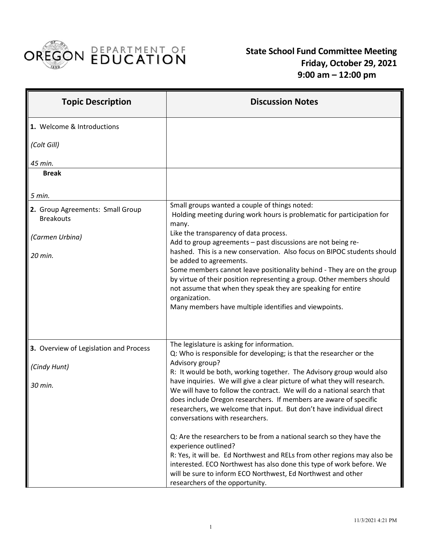

 **State School Fund Committee Meeting Friday, October 29, 2021 9:00 am – 12:00 pm**

| <b>Topic Description</b>                             | <b>Discussion Notes</b>                                                                                                                                                                                                                                                                                                            |
|------------------------------------------------------|------------------------------------------------------------------------------------------------------------------------------------------------------------------------------------------------------------------------------------------------------------------------------------------------------------------------------------|
| 1. Welcome & Introductions                           |                                                                                                                                                                                                                                                                                                                                    |
| (Colt Gill)                                          |                                                                                                                                                                                                                                                                                                                                    |
| 45 min.<br><b>Break</b>                              |                                                                                                                                                                                                                                                                                                                                    |
|                                                      |                                                                                                                                                                                                                                                                                                                                    |
| 5 min.                                               |                                                                                                                                                                                                                                                                                                                                    |
| 2. Group Agreements: Small Group<br><b>Breakouts</b> | Small groups wanted a couple of things noted:<br>Holding meeting during work hours is problematic for participation for<br>many.                                                                                                                                                                                                   |
| (Carmen Urbina)                                      | Like the transparency of data process.<br>Add to group agreements - past discussions are not being re-                                                                                                                                                                                                                             |
| 20 min.                                              | hashed. This is a new conservation. Also focus on BIPOC students should<br>be added to agreements.                                                                                                                                                                                                                                 |
|                                                      | Some members cannot leave positionality behind - They are on the group<br>by virtue of their position representing a group. Other members should<br>not assume that when they speak they are speaking for entire                                                                                                                   |
|                                                      | organization.<br>Many members have multiple identifies and viewpoints.                                                                                                                                                                                                                                                             |
|                                                      |                                                                                                                                                                                                                                                                                                                                    |
| 3. Overview of Legislation and Process               | The legislature is asking for information.<br>Q: Who is responsible for developing; is that the researcher or the                                                                                                                                                                                                                  |
| (Cindy Hunt)                                         | Advisory group?<br>R: It would be both, working together. The Advisory group would also                                                                                                                                                                                                                                            |
| 30 min.                                              | have inquiries. We will give a clear picture of what they will research.<br>We will have to follow the contract. We will do a national search that<br>does include Oregon researchers. If members are aware of specific<br>researchers, we welcome that input. But don't have individual direct<br>conversations with researchers. |
|                                                      | Q: Are the researchers to be from a national search so they have the<br>experience outlined?                                                                                                                                                                                                                                       |
|                                                      | R: Yes, it will be. Ed Northwest and RELs from other regions may also be<br>interested. ECO Northwest has also done this type of work before. We<br>will be sure to inform ECO Northwest, Ed Northwest and other                                                                                                                   |
|                                                      | researchers of the opportunity.                                                                                                                                                                                                                                                                                                    |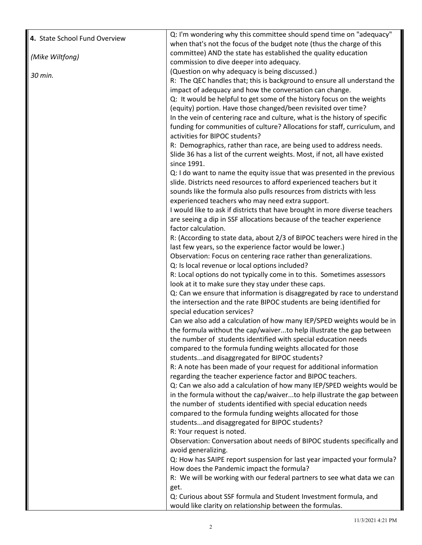| 4. State School Fund Overview | Q: I'm wondering why this committee should spend time on "adequacy"                                                                       |
|-------------------------------|-------------------------------------------------------------------------------------------------------------------------------------------|
|                               | when that's not the focus of the budget note (thus the charge of this<br>committee) AND the state has established the quality education   |
| (Mike Wiltfong)               | commission to dive deeper into adequacy.                                                                                                  |
|                               | (Question on why adequacy is being discussed.)                                                                                            |
| 30 min.                       | R: The QEC handles that; this is background to ensure all understand the                                                                  |
|                               | impact of adequacy and how the conversation can change.                                                                                   |
|                               | Q: It would be helpful to get some of the history focus on the weights                                                                    |
|                               | (equity) portion. Have those changed/been revisited over time?                                                                            |
|                               | In the vein of centering race and culture, what is the history of specific                                                                |
|                               | funding for communities of culture? Allocations for staff, curriculum, and                                                                |
|                               | activities for BIPOC students?                                                                                                            |
|                               | R: Demographics, rather than race, are being used to address needs.                                                                       |
|                               | Slide 36 has a list of the current weights. Most, if not, all have existed<br>since 1991.                                                 |
|                               | Q: I do want to name the equity issue that was presented in the previous                                                                  |
|                               | slide. Districts need resources to afford experienced teachers but it                                                                     |
|                               | sounds like the formula also pulls resources from districts with less                                                                     |
|                               | experienced teachers who may need extra support.                                                                                          |
|                               | I would like to ask if districts that have brought in more diverse teachers                                                               |
|                               | are seeing a dip in SSF allocations because of the teacher experience                                                                     |
|                               | factor calculation.                                                                                                                       |
|                               | R: (According to state data, about 2/3 of BIPOC teachers were hired in the                                                                |
|                               | last few years, so the experience factor would be lower.)<br>Observation: Focus on centering race rather than generalizations.            |
|                               | Q: Is local revenue or local options included?                                                                                            |
|                               | R: Local options do not typically come in to this. Sometimes assessors                                                                    |
|                               | look at it to make sure they stay under these caps.                                                                                       |
|                               | Q: Can we ensure that information is disaggregated by race to understand                                                                  |
|                               | the intersection and the rate BIPOC students are being identified for                                                                     |
|                               | special education services?                                                                                                               |
|                               | Can we also add a calculation of how many IEP/SPED weights would be in                                                                    |
|                               | the formula without the cap/waiverto help illustrate the gap between                                                                      |
|                               | the number of students identified with special education needs                                                                            |
|                               | compared to the formula funding weights allocated for those                                                                               |
|                               | studentsand disaggregated for BIPOC students?                                                                                             |
|                               | R: A note has been made of your request for additional information                                                                        |
|                               | regarding the teacher experience factor and BIPOC teachers.                                                                               |
|                               | Q: Can we also add a calculation of how many IEP/SPED weights would be                                                                    |
|                               | in the formula without the cap/waiverto help illustrate the gap between<br>the number of students identified with special education needs |
|                               | compared to the formula funding weights allocated for those                                                                               |
|                               | studentsand disaggregated for BIPOC students?                                                                                             |
|                               | R: Your request is noted.                                                                                                                 |
|                               | Observation: Conversation about needs of BIPOC students specifically and                                                                  |
|                               | avoid generalizing.                                                                                                                       |
|                               | Q: How has SAIPE report suspension for last year impacted your formula?                                                                   |
|                               | How does the Pandemic impact the formula?                                                                                                 |
|                               | R: We will be working with our federal partners to see what data we can                                                                   |
|                               | get.<br>Q: Curious about SSF formula and Student Investment formula, and                                                                  |
|                               | would like clarity on relationship between the formulas.                                                                                  |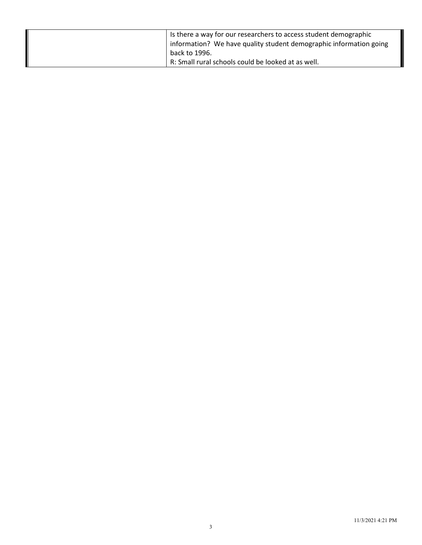| Is there a way for our researchers to access student demographic<br>information? We have quality student demographic information going |
|----------------------------------------------------------------------------------------------------------------------------------------|
| back to 1996.<br>R: Small rural schools could be looked at as well.                                                                    |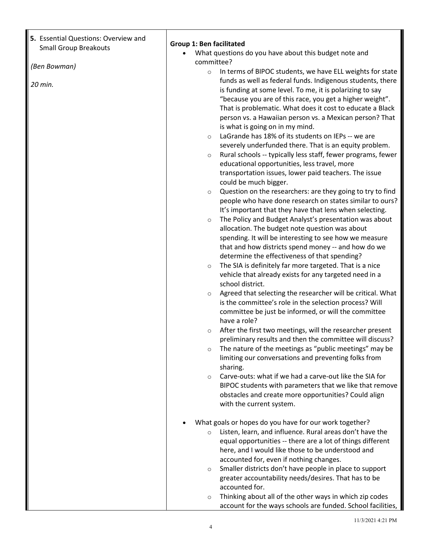| 5. Essential Questions: Overview and<br><b>Small Group Breakouts</b> | <b>Group 1: Ben facilitated</b>                                                                                                   |
|----------------------------------------------------------------------|-----------------------------------------------------------------------------------------------------------------------------------|
|                                                                      | What questions do you have about this budget note and                                                                             |
| (Ben Bowman)                                                         | committee?                                                                                                                        |
|                                                                      | In terms of BIPOC students, we have ELL weights for state<br>$\circ$                                                              |
| 20 min.                                                              | funds as well as federal funds. Indigenous students, there                                                                        |
|                                                                      | is funding at some level. To me, it is polarizing to say                                                                          |
|                                                                      | "because you are of this race, you get a higher weight".<br>That is problematic. What does it cost to educate a Black             |
|                                                                      | person vs. a Hawaiian person vs. a Mexican person? That                                                                           |
|                                                                      | is what is going on in my mind.                                                                                                   |
|                                                                      | LaGrande has 18% of its students on IEPs -- we are<br>$\circ$                                                                     |
|                                                                      | severely underfunded there. That is an equity problem.                                                                            |
|                                                                      | Rural schools -- typically less staff, fewer programs, fewer<br>$\circ$                                                           |
|                                                                      | educational opportunities, less travel, more                                                                                      |
|                                                                      | transportation issues, lower paid teachers. The issue                                                                             |
|                                                                      | could be much bigger.                                                                                                             |
|                                                                      | Question on the researchers: are they going to try to find<br>$\circ$<br>people who have done research on states similar to ours? |
|                                                                      | It's important that they have that lens when selecting.                                                                           |
|                                                                      | The Policy and Budget Analyst's presentation was about<br>$\circ$                                                                 |
|                                                                      | allocation. The budget note question was about                                                                                    |
|                                                                      | spending. It will be interesting to see how we measure                                                                            |
|                                                                      | that and how districts spend money -- and how do we                                                                               |
|                                                                      | determine the effectiveness of that spending?                                                                                     |
|                                                                      | The SIA is definitely far more targeted. That is a nice<br>$\circ$                                                                |
|                                                                      | vehicle that already exists for any targeted need in a<br>school district.                                                        |
|                                                                      | Agreed that selecting the researcher will be critical. What<br>$\circ$                                                            |
|                                                                      | is the committee's role in the selection process? Will                                                                            |
|                                                                      | committee be just be informed, or will the committee                                                                              |
|                                                                      | have a role?                                                                                                                      |
|                                                                      | After the first two meetings, will the researcher present<br>$\circ$                                                              |
|                                                                      | preliminary results and then the committee will discuss?                                                                          |
|                                                                      | The nature of the meetings as "public meetings" may be<br>$\circ$<br>limiting our conversations and preventing folks from         |
|                                                                      | sharing.                                                                                                                          |
|                                                                      | Carve-outs: what if we had a carve-out like the SIA for<br>$\circ$                                                                |
|                                                                      | BIPOC students with parameters that we like that remove                                                                           |
|                                                                      | obstacles and create more opportunities? Could align                                                                              |
|                                                                      | with the current system.                                                                                                          |
|                                                                      | What goals or hopes do you have for our work together?                                                                            |
|                                                                      | Listen, learn, and influence. Rural areas don't have the<br>$\circ$                                                               |
|                                                                      | equal opportunities -- there are a lot of things different                                                                        |
|                                                                      | here, and I would like those to be understood and                                                                                 |
|                                                                      | accounted for, even if nothing changes.                                                                                           |
|                                                                      | Smaller districts don't have people in place to support<br>$\circ$                                                                |
|                                                                      | greater accountability needs/desires. That has to be                                                                              |
|                                                                      | accounted for.<br>Thinking about all of the other ways in which zip codes                                                         |
|                                                                      | $\circ$                                                                                                                           |

account for the ways schools are funded. School facilities,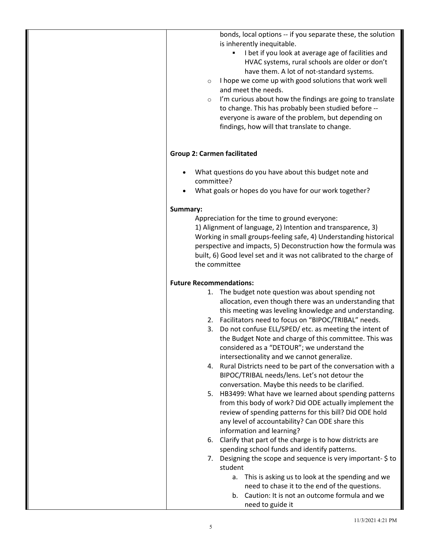bonds, local options -- if you separate these, the solution is inherently inequitable.

- I bet if you look at average age of facilities and HVAC systems, rural schools are older or don't have them. A lot of not-standard systems.
- $\circ$  I hope we come up with good solutions that work well and meet the needs.
- o I'm curious about how the findings are going to translate to change. This has probably been studied before - everyone is aware of the problem, but depending on findings, how will that translate to change.

## **Group 2: Carmen facilitated**

- What questions do you have about this budget note and committee?
- What goals or hopes do you have for our work together?

## **Summary:**

Appreciation for the time to ground everyone: 1) Alignment of language, 2) Intention and transparence, 3) Working in small groups-feeling safe, 4) Understanding historical perspective and impacts, 5) Deconstruction how the formula was built, 6) Good level set and it was not calibrated to the charge of

## **Future Recommendations:**

the committee

- 1. The budget note question was about spending not allocation, even though there was an understanding that this meeting was leveling knowledge and understanding.
- 2. Facilitators need to focus on "BIPOC/TRIBAL" needs.
- 3. Do not confuse ELL/SPED/ etc. as meeting the intent of the Budget Note and charge of this committee. This was considered as a "DETOUR"; we understand the intersectionality and we cannot generalize.
- 4. Rural Districts need to be part of the conversation with a BIPOC/TRIBAL needs/lens. Let's not detour the conversation. Maybe this needs to be clarified.
- 5. HB3499: What have we learned about spending patterns from this body of work? Did ODE actually implement the review of spending patterns for this bill? Did ODE hold any level of accountability? Can ODE share this information and learning?
- 6. Clarify that part of the charge is to how districts are spending school funds and identify patterns.
- 7. Designing the scope and sequence is very important-\$ to student
	- a. This is asking us to look at the spending and we need to chase it to the end of the questions.
	- b. Caution: It is not an outcome formula and we need to guide it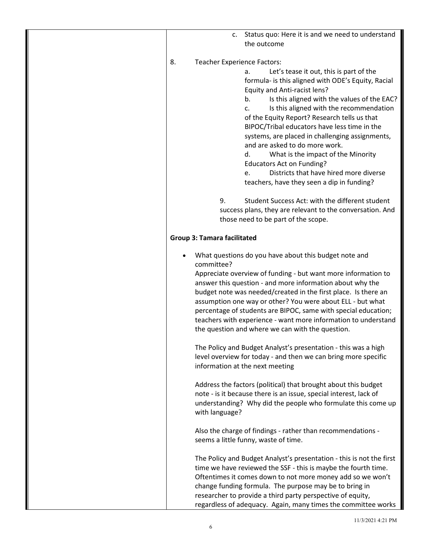| c. Status quo: Here it is and we need to understand<br>the outcome                                                                                                                                                                                                                                                                                                                                                                                                                                                                                                                                                                                       |
|----------------------------------------------------------------------------------------------------------------------------------------------------------------------------------------------------------------------------------------------------------------------------------------------------------------------------------------------------------------------------------------------------------------------------------------------------------------------------------------------------------------------------------------------------------------------------------------------------------------------------------------------------------|
| <b>Teacher Experience Factors:</b><br>8.<br>Let's tease it out, this is part of the<br>а.<br>formula- is this aligned with ODE's Equity, Racial<br>Equity and Anti-racist lens?<br>Is this aligned with the values of the EAC?<br>b.<br>Is this aligned with the recommendation<br>c.<br>of the Equity Report? Research tells us that<br>BIPOC/Tribal educators have less time in the<br>systems, are placed in challenging assignments,<br>and are asked to do more work.<br>What is the impact of the Minority<br>d.<br><b>Educators Act on Funding?</b><br>Districts that have hired more diverse<br>e.<br>teachers, have they seen a dip in funding? |
| Student Success Act: with the different student<br>9.<br>success plans, they are relevant to the conversation. And<br>those need to be part of the scope.                                                                                                                                                                                                                                                                                                                                                                                                                                                                                                |
| <b>Group 3: Tamara facilitated</b>                                                                                                                                                                                                                                                                                                                                                                                                                                                                                                                                                                                                                       |
| What questions do you have about this budget note and<br>committee?<br>Appreciate overview of funding - but want more information to<br>answer this question - and more information about why the<br>budget note was needed/created in the first place. Is there an<br>assumption one way or other? You were about ELL - but what<br>percentage of students are BIPOC, same with special education;<br>teachers with experience - want more information to understand<br>the question and where we can with the question.                                                                                                                                |
| The Policy and Budget Analyst's presentation - this was a high<br>level overview for today - and then we can bring more specific<br>information at the next meeting                                                                                                                                                                                                                                                                                                                                                                                                                                                                                      |
| Address the factors (political) that brought about this budget<br>note - is it because there is an issue, special interest, lack of<br>understanding? Why did the people who formulate this come up<br>with language?                                                                                                                                                                                                                                                                                                                                                                                                                                    |
| Also the charge of findings - rather than recommendations -<br>seems a little funny, waste of time.                                                                                                                                                                                                                                                                                                                                                                                                                                                                                                                                                      |
| The Policy and Budget Analyst's presentation - this is not the first<br>time we have reviewed the SSF - this is maybe the fourth time.<br>Oftentimes it comes down to not more money add so we won't<br>change funding formula. The purpose may be to bring in<br>researcher to provide a third party perspective of equity,<br>regardless of adequacy. Again, many times the committee works                                                                                                                                                                                                                                                            |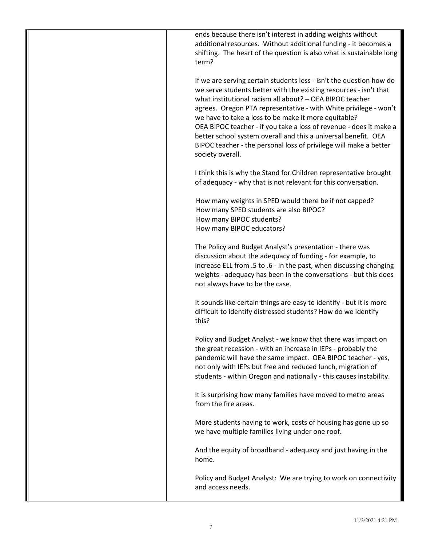ends because there isn't interest in adding weights without additional resources. Without additional funding - it becomes a shifting. The heart of the question is also what is sustainable long term?

If we are serving certain students less - isn't the question how do we serve students better with the existing resources - isn't that what institutional racism all about? – OEA BIPOC teacher agrees. Oregon PTA representative - with White privilege - won't we have to take a loss to be make it more equitable? OEA BIPOC teacher - if you take a loss of revenue - does it make a better school system overall and this a universal benefit. OEA BIPOC teacher - the personal loss of privilege will make a better society overall.

I think this is why the Stand for Children representative brought of adequacy - why that is not relevant for this conversation.

 How many weights in SPED would there be if not capped? How many SPED students are also BIPOC? How many BIPOC students? How many BIPOC educators?

The Policy and Budget Analyst's presentation - there was discussion about the adequacy of funding - for example, to increase ELL from .5 to .6 - In the past, when discussing changing weights - adequacy has been in the conversations - but this does not always have to be the case.

It sounds like certain things are easy to identify - but it is more difficult to identify distressed students? How do we identify this?

Policy and Budget Analyst - we know that there was impact on the great recession - with an increase in IEPs - probably the pandemic will have the same impact. OEA BIPOC teacher - yes, not only with IEPs but free and reduced lunch, migration of students - within Oregon and nationally - this causes instability.

It is surprising how many families have moved to metro areas from the fire areas.

More students having to work, costs of housing has gone up so we have multiple families living under one roof.

And the equity of broadband - adequacy and just having in the home.

Policy and Budget Analyst: We are trying to work on connectivity and access needs.